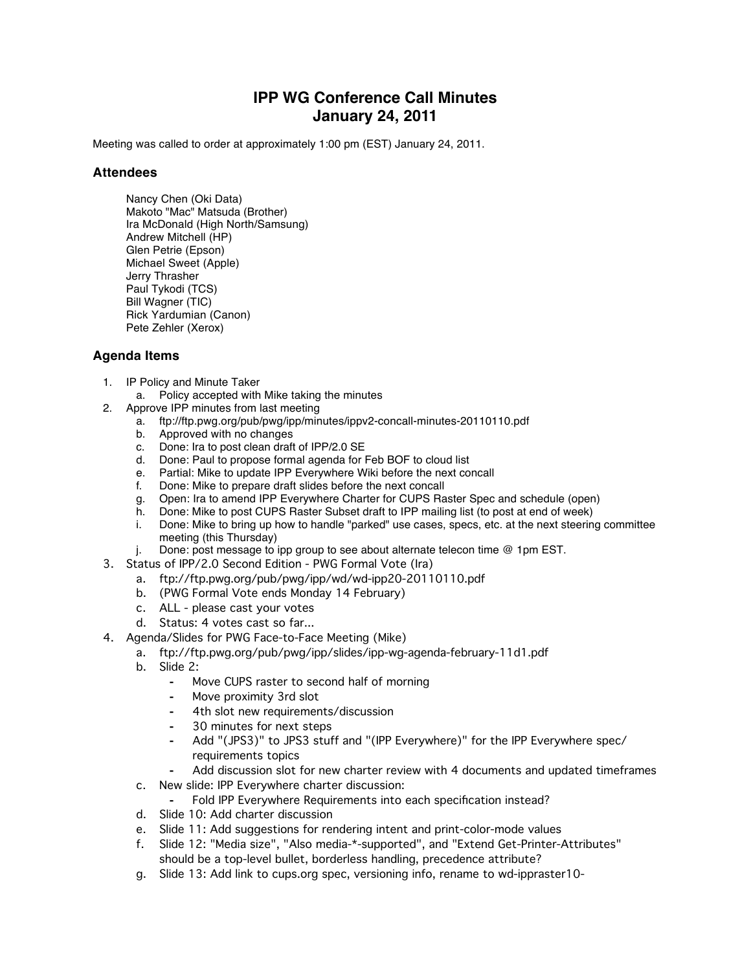## **IPP WG Conference Call Minutes January 24, 2011**

Meeting was called to order at approximately 1:00 pm (EST) January 24, 2011.

## **Attendees**

Nancy Chen (Oki Data) Makoto "Mac" Matsuda (Brother) Ira McDonald (High North/Samsung) Andrew Mitchell (HP) Glen Petrie (Epson) Michael Sweet (Apple) Jerry Thrasher Paul Tykodi (TCS) Bill Wagner (TIC) Rick Yardumian (Canon) Pete Zehler (Xerox)

## **Agenda Items**

- 1. IP Policy and Minute Taker
	- a. Policy accepted with Mike taking the minutes
- 2. Approve IPP minutes from last meeting
	- a. ftp://ftp.pwg.org/pub/pwg/ipp/minutes/ippv2-concall-minutes-20110110.pdf
		- b. Approved with no changes
		- c. Done: Ira to post clean draft of IPP/2.0 SE<br>d. Done: Paul to propose formal agenda for I
		- d. Done: Paul to propose formal agenda for Feb BOF to cloud list e. Partial: Mike to update IPP Everywhere Wiki before the next co
		- Partial: Mike to update IPP Everywhere Wiki before the next concall
		-
		- f. Done: Mike to prepare draft slides before the next concall<br>g. Open: Ira to amend IPP Everywhere Charter for CUPS Ra<br>h. Done: Mike to post CUPS Raster Subset draft to IPP mailing g. Open: Ira to amend IPP Everywhere Charter for CUPS Raster Spec and schedule (open)
		- h. Done: Mike to post CUPS Raster Subset draft to IPP mailing list (to post at end of week)
		- i. Done: Mike to bring up how to handle "parked" use cases, specs, etc. at the next steering committee meeting (this Thursday)
	- j. Done: post message to ipp group to see about alternate telecon time @ 1pm EST.
- 3. Status of IPP/2.0 Second Edition PWG Formal Vote (Ira)
	- a. ftp://ftp.pwg.org/pub/pwg/ipp/wd/wd-ipp20-20110110.pdf
	- b. (PWG Formal Vote ends Monday 14 February)
	- c. ALL please cast your votes
	- d. Status: 4 votes cast so far...
- 4. Agenda/Slides for PWG Face-to-Face Meeting (Mike)
	- a. ftp://ftp.pwg.org/pub/pwg/ipp/slides/ipp-wg-agenda-february-11d1.pdf
	- b. Slide 2:
		- ⁃ Move CUPS raster to second half of morning
		- Move proximity 3rd slot
		- ⁃ 4th slot new requirements/discussion
		- ⁃ 30 minutes for next steps
		- ⁃ Add "(JPS3)" to JPS3 stuff and "(IPP Everywhere)" for the IPP Everywhere spec/ requirements topics
		- Add discussion slot for new charter review with 4 documents and updated timeframes
	- c. New slide: IPP Everywhere charter discussion:
		- ⁃ Fold IPP Everywhere Requirements into each specification instead?
	- d. Slide 10: Add charter discussion
	- e. Slide 11: Add suggestions for rendering intent and print-color-mode values
	- f. Slide 12: "Media size", "Also media-\*-supported", and "Extend Get-Printer-Attributes" should be a top-level bullet, borderless handling, precedence attribute?
	- g. Slide 13: Add link to cups.org spec, versioning info, rename to wd-ippraster10-